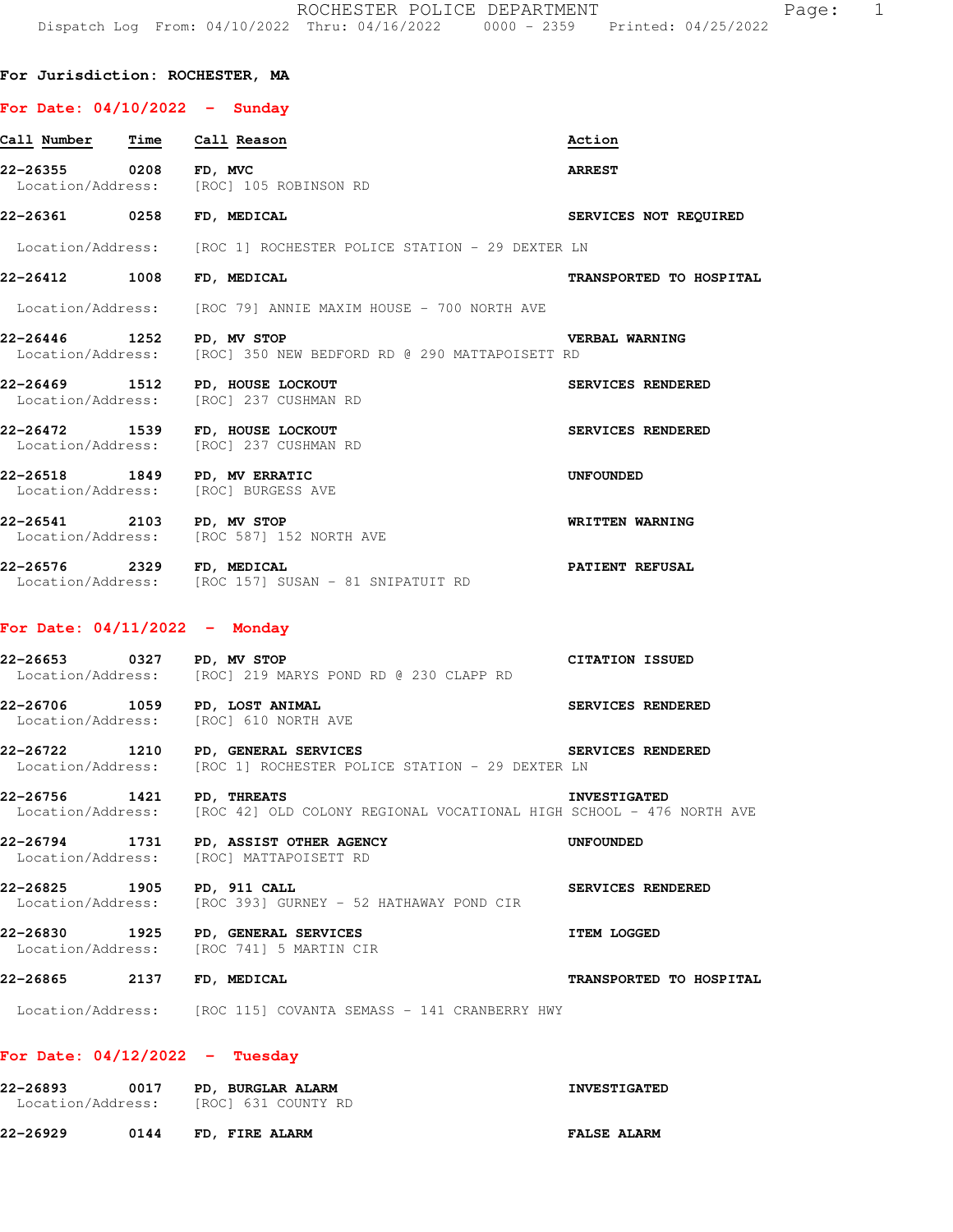## **For Date: 04/10/2022 - Sunday**

| Call Number Time Call Reason    |                                                                                                           | Action                  |
|---------------------------------|-----------------------------------------------------------------------------------------------------------|-------------------------|
| 22-26355 0208                   | FD, MVC<br>Location/Address: [ROC] 105 ROBINSON RD                                                        | <b>ARREST</b>           |
| 22-26361 0258 FD, MEDICAL       |                                                                                                           | SERVICES NOT REQUIRED   |
|                                 | Location/Address: [ROC 1] ROCHESTER POLICE STATION - 29 DEXTER LN                                         |                         |
| 22-26412 1008 FD, MEDICAL       |                                                                                                           | TRANSPORTED TO HOSPITAL |
|                                 | Location/Address: [ROC 79] ANNIE MAXIM HOUSE - 700 NORTH AVE                                              |                         |
| 22-26446 1252 PD, MV STOP       | Location/Address: [ROC] 350 NEW BEDFORD RD @ 290 MATTAPOISETT RD                                          | <b>VERBAL WARNING</b>   |
|                                 | 22-26469 1512 PD, HOUSE LOCKOUT<br>Location/Address: [ROC] 237 CUSHMAN RD                                 | SERVICES RENDERED       |
|                                 | 22-26472 1539 FD, HOUSE LOCKOUT<br>Location/Address: [ROC] 237 CUSHMAN RD                                 | SERVICES RENDERED       |
|                                 | 22-26518 1849 PD, MV ERRATIC<br>Location/Address: [ROC] BURGESS AVE                                       | UNFOUNDED               |
|                                 | 22-26541 2103 PD, MV STOP<br>Location/Address: [ROC 587] 152 NORTH AVE                                    | WRITTEN WARNING         |
| 22-26576 2329 FD, MEDICAL       | Location/Address: [ROC 157] SUSAN - 81 SNIPATUIT RD                                                       | <b>PATIENT REFUSAL</b>  |
| For Date: $04/11/2022 -$ Monday |                                                                                                           |                         |
| 22-26653 0327 PD, MV STOP       | Location/Address: [ROC] 219 MARYS POND RD @ 230 CLAPP RD                                                  | <b>CITATION ISSUED</b>  |
|                                 | 22-26706 1059 PD, LOST ANIMAL<br>Location/Address: [ROC] 610 NORTH AVE                                    | SERVICES RENDERED       |
|                                 | 22-26722 1210 PD, GENERAL SERVICES<br>Location/Address: [ROC 1] ROCHESTER POLICE STATION - 29 DEXTER LN   | SERVICES RENDERED       |
| 22-26756                        | 1421 PD, THREATS<br>Location/Address: [ROC 42] OLD COLONY REGIONAL VOCATIONAL HIGH SCHOOL - 476 NORTH AVE | <b>INVESTIGATED</b>     |
| 22-26794 1731                   | PD, ASSIST OTHER AGENCY                                                                                   | <b>UNFOUNDED</b>        |

Location/Address: [ROC] MATTAPOISETT RD

**22-26825 1905 PD, 911 CALL SERVICES RENDERED**  Location/Address: [ROC 393] GURNEY - 52 HATHAWAY POND CIR

**22-26830 1925 PD, GENERAL SERVICES ITEM LOGGED**  Location/Address: [ROC 741] 5 MARTIN CIR

**22-26865 2137 FD, MEDICAL TRANSPORTED TO HOSPITAL** 

Location/Address: [ROC 115] COVANTA SEMASS - 141 CRANBERRY HWY

## **For Date: 04/12/2022 - Tuesday**

| 22-26893<br>Location/Address: | 0017 | PD, BURGLAR ALARM<br>[ROC] 631 COUNTY RD | <b>INVESTIGATED</b> |
|-------------------------------|------|------------------------------------------|---------------------|
| 22-26929                      | 0144 | FD, FIRE ALARM                           | <b>FALSE ALARM</b>  |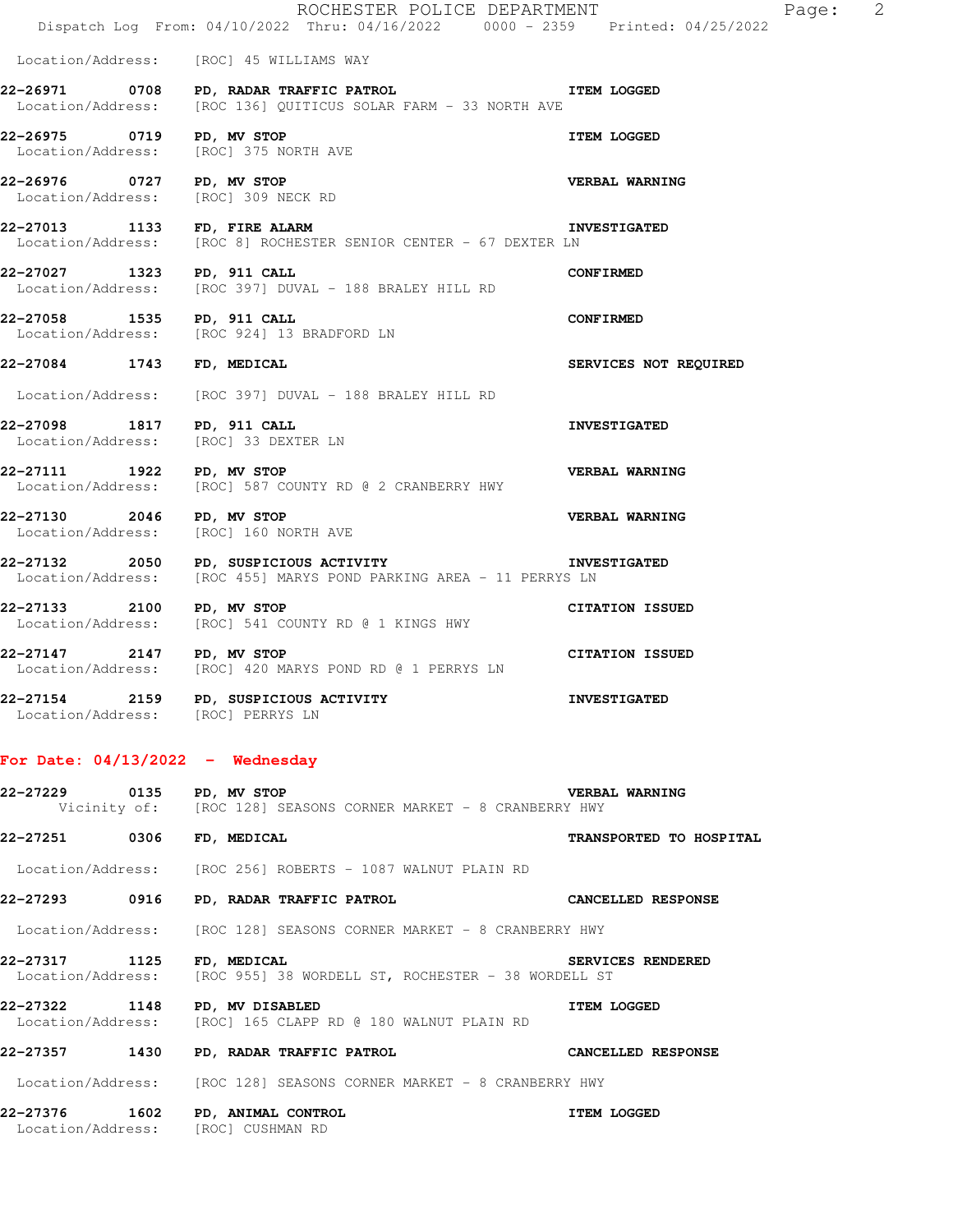|                                    | ROCHESTER POLICE DEPARTMENT<br>Dispatch Log From: 04/10/2022 Thru: 04/16/2022 0000 - 2359 Printed: 04/25/2022                       | $\overline{\phantom{a}}$<br>Page: |
|------------------------------------|-------------------------------------------------------------------------------------------------------------------------------------|-----------------------------------|
|                                    | Location/Address: [ROC] 45 WILLIAMS WAY                                                                                             |                                   |
|                                    | 22-26971 0708 PD, RADAR TRAFFIC PATROL<br>Location/Address: [ROC 136] QUITICUS SOLAR FARM - 33 NORTH AVE                            | <b>ITEM LOGGED</b>                |
|                                    | 22-26975 0719 PD, MV STOP<br>Location/Address: [ROC] 375 NORTH AVE                                                                  | <b>ITEM LOGGED</b>                |
| 22-26976 0727 PD, MV STOP          | Location/Address: [ROC] 309 NECK RD                                                                                                 | VERBAL WARNING                    |
| 22-27013 1133 FD, FIRE ALARM       | <b>INVESTIGATED</b><br>Location/Address: [ROC 8] ROCHESTER SENIOR CENTER - 67 DEXTER LN                                             |                                   |
| 22-27027 1323 PD, 911 CALL         | Location/Address: [ROC 397] DUVAL - 188 BRALEY HILL RD                                                                              | <b>CONFIRMED</b>                  |
|                                    | 22-27058 1535 PD, 911 CALL<br>Location/Address: [ROC 924] 13 BRADFORD LN                                                            | <b>CONFIRMED</b>                  |
| 22-27084 1743 FD, MEDICAL          |                                                                                                                                     | SERVICES NOT REQUIRED             |
|                                    | Location/Address: [ROC 397] DUVAL - 188 BRALEY HILL RD                                                                              |                                   |
| 22-27098 1817 PD, 911 CALL         | Location/Address: [ROC] 33 DEXTER LN                                                                                                | <b>INVESTIGATED</b>               |
| 22-27111 1922 PD, MV STOP          | Location/Address: [ROC] 587 COUNTY RD @ 2 CRANBERRY HWY                                                                             | VERBAL WARNING                    |
| 22-27130 2046 PD, MV STOP          | Location/Address: [ROC] 160 NORTH AVE                                                                                               | VERBAL WARNING                    |
|                                    | 22-27132 2050 PD, SUSPICIOUS ACTIVITY CONTROLLER INVESTIGATED<br>Location/Address: [ROC 455] MARYS POND PARKING AREA - 11 PERRYS LN |                                   |
| 22-27133 2100 PD, MV STOP          | Location/Address: [ROC] 541 COUNTY RD @ 1 KINGS HWY                                                                                 | <b>CITATION ISSUED</b>            |
| 22-27147 2147 PD, MV STOP          | Location/Address: [ROC] 420 MARYS POND RD @ 1 PERRYS LN                                                                             | <b>CITATION ISSUED</b>            |
| Location/Address: [ROC] PERRYS LN  | 22-27154 2159 PD, SUSPICIOUS ACTIVITY                                                                                               | <b>INVESTIGATED</b>               |
| For Date: $04/13/2022 -$ Wednesday |                                                                                                                                     |                                   |
| 22-27229 0135 PD, MV STOP          | Vicinity of: [ROC 128] SEASONS CORNER MARKET - 8 CRANBERRY HWY                                                                      | <b>VERBAL WARNING</b>             |
| 22-27251 0306 FD, MEDICAL          |                                                                                                                                     | TRANSPORTED TO HOSPITAL           |
|                                    | Location/Address: [ROC 256] ROBERTS - 1087 WALNUT PLAIN RD                                                                          |                                   |
| 22-27293 0916                      | PD, RADAR TRAFFIC PATROL                                                                                                            | CANCELLED RESPONSE                |
| Location/Address:                  | [ROC 128] SEASONS CORNER MARKET - 8 CRANBERRY HWY                                                                                   |                                   |
| 22-27317 1125<br>Location/Address: | FD, MEDICAL<br>[ROC 955] 38 WORDELL ST, ROCHESTER - 38 WORDELL ST                                                                   | SERVICES RENDERED                 |
| 22-27322 1148 PD, MV DISABLED      | Location/Address: [ROC] 165 CLAPP RD @ 180 WALNUT PLAIN RD                                                                          | <b>ITEM LOGGED</b>                |
|                                    | 22-27357 1430 PD, RADAR TRAFFIC PATROL                                                                                              | <b>CANCELLED RESPONSE</b>         |
|                                    | Location/Address: [ROC 128] SEASONS CORNER MARKET - 8 CRANBERRY HWY                                                                 |                                   |
|                                    | 22-27376 1602 PD, ANIMAL CONTROL                                                                                                    | <b>ITEM LOGGED</b>                |

Location/Address: [ROC] CUSHMAN RD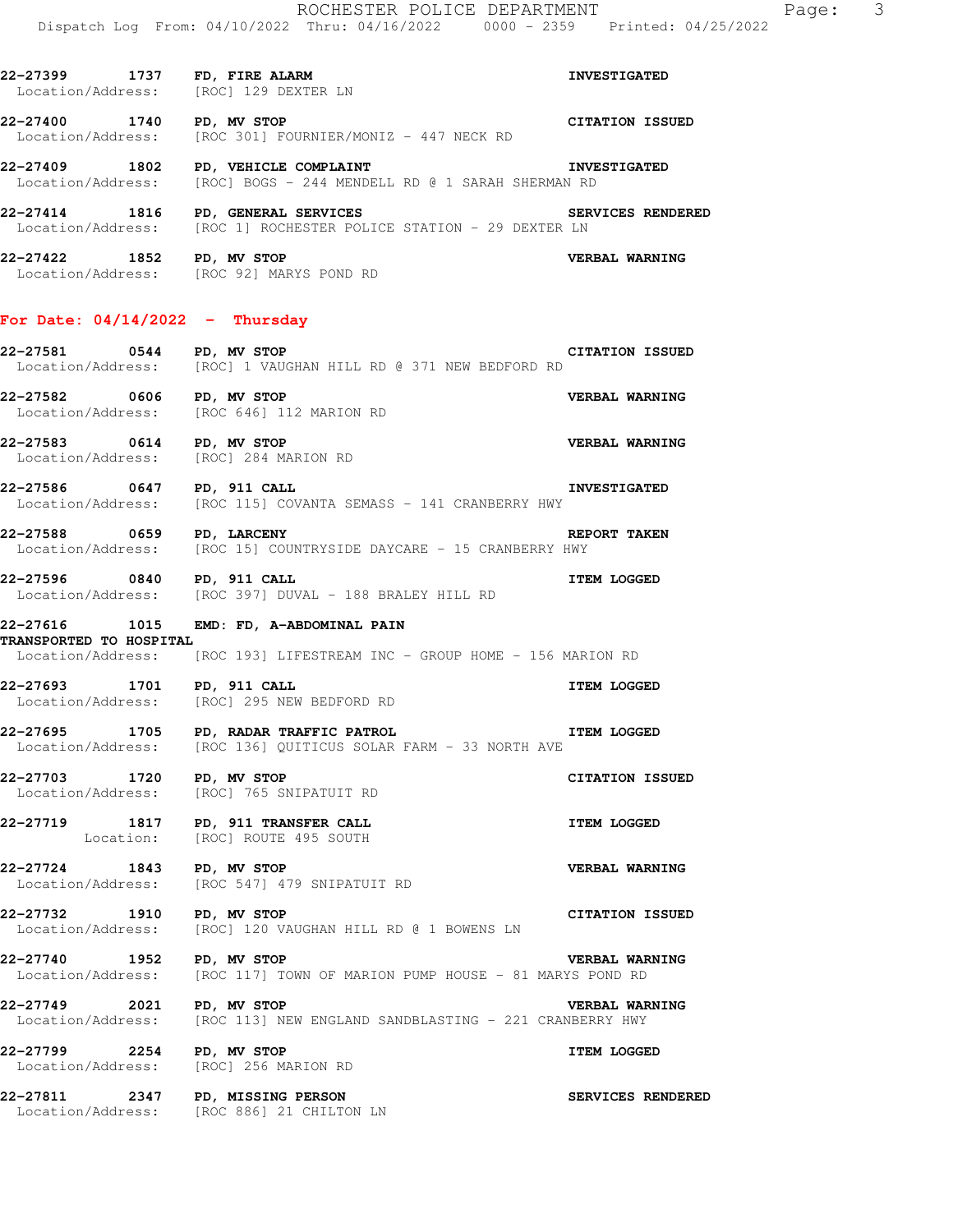**22-27399 1737 FD, FIRE ALARM INVESTIGATED**  Location/Address: [ROC] 129 DEXTER LN **22-27400 1740 PD, MV STOP CITATION ISSUED**  Location/Address: [ROC 301] FOURNIER/MONIZ - 447 NECK RD **22-27409 1802 PD, VEHICLE COMPLAINT INVESTIGATED**  Location/Address: [ROC] BOGS - 244 MENDELL RD @ 1 SARAH SHERMAN RD **22-27414 1816 PD, GENERAL SERVICES SERVICES RENDERED**  Location/Address: [ROC 1] ROCHESTER POLICE STATION - 29 DEXTER LN **22-27422 1852 PD, MV STOP VERBAL WARNING**  Location/Address: [ROC 92] MARYS POND RD **For Date: 04/14/2022 - Thursday 22-27581 0544 PD, MV STOP CITATION ISSUED**  Location/Address: [ROC] 1 VAUGHAN HILL RD @ 371 NEW BEDFORD RD **22-27582 0606 PD, MV STOP CONSUMED BY ARRISE VERBAL WARNING**<br>
Location/Address: [ROC 646] 112 MARION RD [ROC 646] 112 MARION RD **22-27583 0614 PD, MV STOP CONSUMING VERBAL WARNING Location/Address:** [ROC] 284 MARION RD Location/Address: **22-27586 0647 PD, 911 CALL INVESTIGATED**  Location/Address: [ROC 115] COVANTA SEMASS - 141 CRANBERRY HWY **22-27588 0659 PD, LARCENY REPORT TAKEN**  Location/Address: [ROC 15] COUNTRYSIDE DAYCARE - 15 CRANBERRY HWY **22-27596 0840 PD, 911 CALL ITEM LOGGED**  Location/Address: [ROC 397] DUVAL - 188 BRALEY HILL RD **22-27616 1015 EMD: FD, A-ABDOMINAL PAIN TRANSPORTED TO HOSPITAL**  Location/Address: [ROC 193] LIFESTREAM INC - GROUP HOME - 156 MARION RD **22-27693 1701 PD, 911 CALL ITEM LOGGED**  Location/Address: [ROC] 295 NEW BEDFORD RD **22-27695 1705 PD, RADAR TRAFFIC PATROL ITEM LOGGED**  Location/Address: [ROC 136] QUITICUS SOLAR FARM - 33 NORTH AVE **22-27703 1720 PD, MV STOP CITATION ISSUED**  Location/Address: [ROC] 765 SNIPATUIT RD **22-27719 1817 PD, 911 TRANSFER CALL ITEM LOGGED**  [ROC] ROUTE 495 SOUTH **22-27724 1843 PD, MV STOP CONSERVERBAL WARNING**<br>
Location/Address: [ROC 547] 479 SNIPATUIT RD [ROC 547] 479 SNIPATUIT RD **22-27732 1910 PD, MV STOP CITATION ISSUED**  Location/Address: [ROC] 120 VAUGHAN HILL RD @ 1 BOWENS LN **22-27740 1952 PD, MV STOP VERBAL WARNING**  [ROC 117] TOWN OF MARION PUMP HOUSE - 81 MARYS POND RD **22-27749 2021 PD, MV STOP VERBAL WARNING**  [ROC 113] NEW ENGLAND SANDBLASTING - 221 CRANBERRY HWY **22-27799 2254 PD, MV STOP ITEM LOGGED**  Location/Address: [ROC] 256 MARION RD **22-27811 2347 PD, MISSING PERSON SERVICES RENDERED**  Location/Address: [ROC 886] 21 CHILTON LN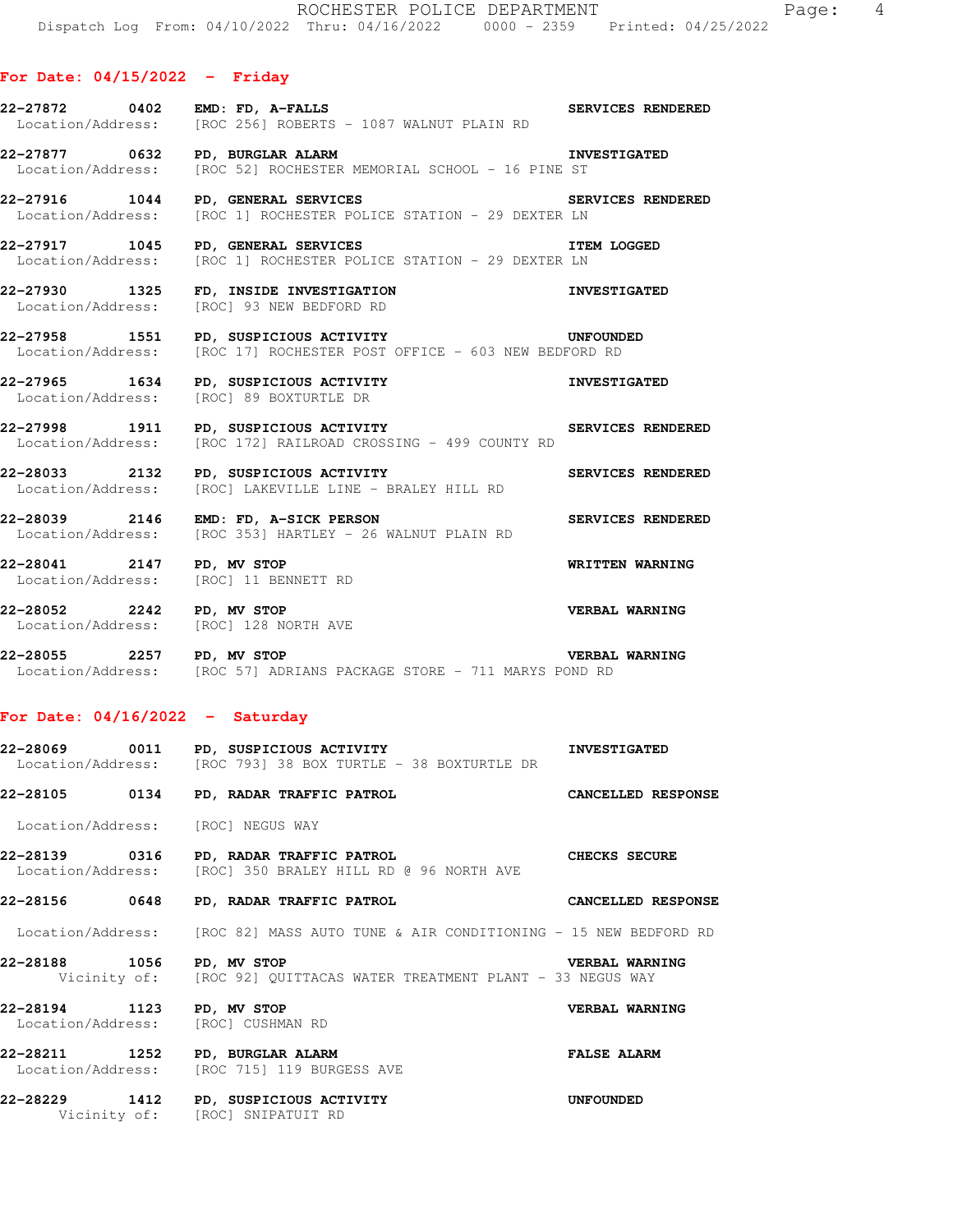## **For Date: 04/15/2022 - Friday**

| 22-27872 0402 EMD: FD, A-FALLS                                     | Location/Address: [ROC 256] ROBERTS - 1087 WALNUT PLAIN RD                                                                 | SERVICES RENDERED     |
|--------------------------------------------------------------------|----------------------------------------------------------------------------------------------------------------------------|-----------------------|
|                                                                    | 22-27877 0632 PD, BURGLAR ALARM<br>Location/Address: [ROC 52] ROCHESTER MEMORIAL SCHOOL - 16 PINE ST                       | <b>INVESTIGATED</b>   |
| 22-27916 1044 PD, GENERAL SERVICES                                 | SERVICES RENDERED<br>Location/Address: [ROC 1] ROCHESTER POLICE STATION - 29 DEXTER LN                                     |                       |
| 22-27917 1045 PD, GENERAL SERVICES                                 | Location/Address: [ROC 1] ROCHESTER POLICE STATION - 29 DEXTER LN                                                          | <b>ITEM LOGGED</b>    |
|                                                                    | 22-27930 1325 FD, INSIDE INVESTIGATION<br>Location/Address: [ROC] 93 NEW BEDFORD RD                                        | <b>INVESTIGATED</b>   |
|                                                                    | 22-27958 1551 PD, SUSPICIOUS ACTIVITY CONFOUNDED<br>Location/Address: [ROC 17] ROCHESTER POST OFFICE - 603 NEW BEDFORD RD  |                       |
|                                                                    | 22-27965 1634 PD, SUSPICIOUS ACTIVITY MVESTIGATED<br>Location/Address: [ROC] 89 BOXTURTLE DR                               |                       |
|                                                                    | 22-27998 1911 PD, SUSPICIOUS ACTIVITY<br>Location/Address: [ROC 172] RAILROAD CROSSING - 499 COUNTY RD                     |                       |
|                                                                    | 22-28033 2132 PD, SUSPICIOUS ACTIVITY CONTROL SERVICES RENDERED<br>Location/Address: [ROC] LAKEVILLE LINE - BRALEY HILL RD |                       |
|                                                                    | SERVICES RENDERED<br>22-28039 2146 EMD: FD, A-SICK PERSON<br>Location/Address: [ROC 353] HARTLEY - 26 WALNUT PLAIN RD      |                       |
| 22-28041 2147 PD, MV STOP<br>Location/Address: [ROC] 11 BENNETT RD |                                                                                                                            | WRITTEN WARNING       |
| Location/Address: [ROC] 128 NORTH AVE                              | 22-28052 2242 PD, MV STOP                                                                                                  | <b>VERBAL WARNING</b> |
|                                                                    | <b>VERBAL WARNING</b><br>22-28055 2257 PD, MV STOP<br>Location/Address: [ROC 57] ADRIANS PACKAGE STORE - 711 MARYS POND RD |                       |

## **For Date: 04/16/2022 - Saturday**

Vicinity of: [ROC] SNIPATUIT RD

|                           | 22-28069 0011 PD, SUSPICIOUS ACTIVITY THE STRIGHT RESTIGATED<br>Location/Address: [ROC 793] 38 BOX TURTLE - 38 BOXTURTLE DR |                       |
|---------------------------|-----------------------------------------------------------------------------------------------------------------------------|-----------------------|
|                           | 22-28105 0134 PD, RADAR TRAFFIC PATROL CANCELLED RESPONSE                                                                   |                       |
|                           | Location/Address: [ROC] NEGUS WAY                                                                                           |                       |
|                           | Location/Address: [ROC] 350 BRALEY HILL RD @ 96 NORTH AVE                                                                   |                       |
|                           | 22-28156 0648 PD, RADAR TRAFFIC PATROL CANCELLED RESPONSE                                                                   |                       |
|                           | Location/Address: [ROC 82] MASS AUTO TUNE & AIR CONDITIONING - 15 NEW BEDFORD RD                                            |                       |
| 22-28188 1056 PD, MV STOP | Vicinity of: [ROC 92] QUITTACAS WATER TREATMENT PLANT - 33 NEGUS WAY                                                        | <b>VERBAL WARNING</b> |
|                           | Location/Address: [ROC] CUSHMAN RD                                                                                          | <b>VERBAL WARNING</b> |
|                           | 22-28211 1252 PD, BURGLAR ALARM<br>Location/Address: [ROC 715] 119 BURGESS AVE                                              | <b>FALSE ALARM</b>    |
|                           | 22-28229 1412 PD, SUSPICIOUS ACTIVITY                                                                                       | UNFOUNDED             |